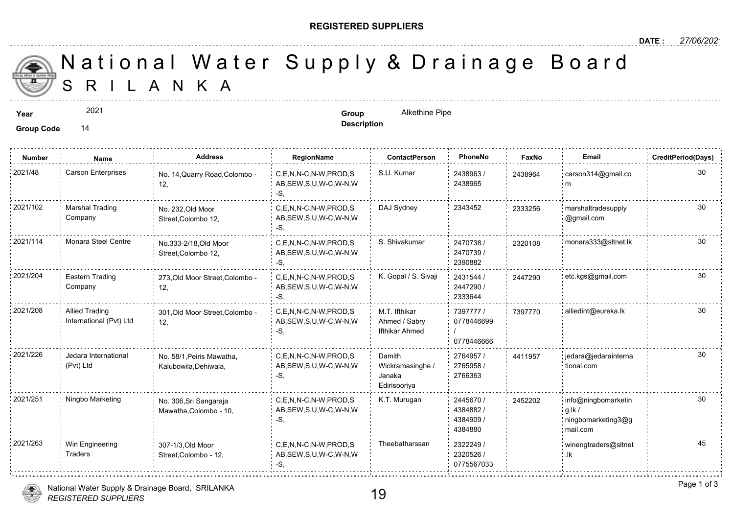## **REGISTERED SUPPLIERS**

**Description**

 S R I L A N K A National Water Supply & Drainage

2021

**Group Code** 14

**Year Group** Alkethine Pipe

| <b>Number</b> | Name                                             | <b>Address</b>                                     | RegionName                                                | ContactPerson                                        | PhoneNo                                       | Faxl   |
|---------------|--------------------------------------------------|----------------------------------------------------|-----------------------------------------------------------|------------------------------------------------------|-----------------------------------------------|--------|
| 2021/48       | Carson Enterprises                               | No. 14, Quarry Road, Colombo -<br>12,              | C,E,N,N-C,N-W,PROD,S<br>AB, SEW, S, U, W-C, W-N, W<br>-S. | S.U. Kumar                                           | 2438963/<br>2438965                           | 243896 |
| 2021/102      | <b>Marshal Trading</b><br>Company                | No. 232, Old Moor<br>Street, Colombo 12,           | C.E.N.N-C.N-W.PROD.S<br>AB, SEW, S, U, W-C, W-N, W<br>-S. | DAJ Sydney                                           | 2343452                                       | 233325 |
| 2021/114      | Monara Steel Centre                              | No.333-2/18, Old Moor<br>Street, Colombo 12,       | C.E.N.N-C.N-W.PROD.S<br>AB, SEW, S, U, W-C, W-N, W<br>-S. | S. Shivakumar                                        | 2470738 /<br>2470739/<br>2390882              | 232010 |
| 2021/204      | Eastern Trading<br>Company                       | 273, Old Moor Street, Colombo -<br>12,             | C.E.N.N-C.N-W.PROD.S<br>AB, SEW, S, U, W-C, W-N, W<br>-S. | K. Gopal / S. Sivaji                                 | 2431544 /<br>2447290 /<br>2333644             | 244729 |
| 2021/208      | <b>Allied Trading</b><br>International (Pvt) Ltd | 301, Old Moor Street, Colombo -<br>12.             | C.E.N.N-C.N-W.PROD.S<br>AB, SEW, S, U, W-C, W-N, W<br>-S. | M.T. Ifthikar<br>Ahmed / Sabry<br>Ifthikar Ahmed     | 7397777 /<br>0778446699<br>0778446666         | 739777 |
| 2021/226      | Jedara International<br>(Pvt) Ltd                | No. 58/1, Peiris Mawatha,<br>Kalubowila, Dehiwala, | C.E.N.N-C.N-W.PROD.S<br>AB, SEW, S, U, W-C, W-N, W<br>-S. | Damith<br>Wickramasinghe /<br>Janaka<br>Edirisooriya | 2764957 /<br>2765958 /<br>2766363             | 441195 |
| 2021/251      | Ningbo Marketing                                 | No. 306, Sri Sangaraja<br>Mawatha, Colombo - 10,   | C.E.N.N-C.N-W.PROD.S<br>AB, SEW, S, U, W-C, W-N, W<br>-S. | K.T. Murugan                                         | 2445670 /<br>4384882/<br>4384909 /<br>4384880 | 245220 |
| 2021/263      | Win Engineering<br>Traders                       | 307-1/3, Old Moor<br>Street, Colombo - 12,         | C.E.N.N-C.N-W.PROD.S<br>AB, SEW, S, U, W-C, W-N, W<br>-S. | Theebatharssan                                       | 2322249/<br>2320526 /<br>0775567033           |        |
|               |                                                  |                                                    |                                                           |                                                      |                                               |        |

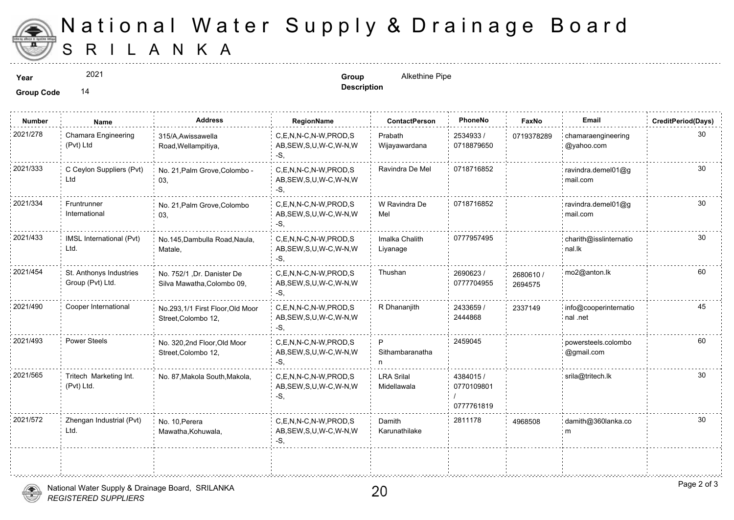

## S R I L A N K A National Water Supply & Drainage

2021

**Year Group** Alkethine Pipe **Description**

**Group Code** 14

| Name                                        | <b>Address</b>                                           | RegionName                                                | <b>ContactPerson</b>             | PhoneNo                               | Faxl            |
|---------------------------------------------|----------------------------------------------------------|-----------------------------------------------------------|----------------------------------|---------------------------------------|-----------------|
| Chamara Engineering<br>(Pvt) Ltd            | 315/A, Awissawella<br>Road, Wellampitiya,                | C.E.N.N-C.N-W.PROD.S<br>AB, SEW, S, U, W-C, W-N, W<br>-S. | Prabath<br>Wijayawardana         | 2534933 /<br>0718879650               | 071937          |
| C Ceylon Suppliers (Pvt)<br>Ltd             | No. 21, Palm Grove, Colombo -<br>03,                     | C.E.N.N-C.N-W.PROD.S<br>AB, SEW, S, U, W-C, W-N, W<br>-S. | Ravindra De Mel                  | 0718716852                            |                 |
| Fruntrunner<br>International                | No. 21, Palm Grove, Colombo<br>03,                       | C,E,N,N-C,N-W,PROD,S<br>AB, SEW, S, U, W-C, W-N, W<br>-S, | W Ravindra De<br>Mel             | 0718716852                            |                 |
| IMSL International (Pvt)<br>Ltd.            | No.145, Dambulla Road, Naula,<br>Matale,                 | C.E.N.N-C.N-W.PROD.S<br>AB, SEW, S, U, W-C, W-N, W<br>-S, | Imalka Chalith<br>Liyanage       | 0777957495                            |                 |
| St. Anthonys Industries<br>Group (Pvt) Ltd. | No. 752/1, Dr. Danister De<br>Silva Mawatha, Colombo 09, | C.E.N.N-C.N-W.PROD.S<br>AB, SEW, S, U, W-C, W-N, W<br>-S, | Thushan                          | 2690623/<br>0777704955                | 26806<br>269457 |
| Cooper International                        | No.293,1/1 First Floor, Old Moor<br>Street, Colombo 12,  | C.E.N.N-C.N-W.PROD.S<br>AB, SEW, S, U, W-C, W-N, W<br>-S. | R Dhananjith                     | 2433659 /<br>2444868                  | 233714          |
| <b>Power Steels</b>                         | No. 320,2nd Floor,Old Moor<br>Street, Colombo 12,        | C.E.N.N-C.N-W.PROD.S<br>AB, SEW, S, U, W-C, W-N, W<br>-S. | P<br>Sithambaranatha<br>n        | 2459045                               |                 |
| Tritech Marketing Int.<br>(Pvt) Ltd.        | No. 87, Makola South, Makola,                            | C,E,N,N-C,N-W,PROD,S<br>AB, SEW, S, U, W-C, W-N, W<br>-S. | <b>LRA Srilal</b><br>Midellawala | 4384015 /<br>0770109801<br>0777761819 |                 |
| Zhengan Industrial (Pvt)<br>Ltd.            | No. 10, Perera<br>Mawatha, Kohuwala,                     | C.E.N.N-C.N-W.PROD.S<br>AB, SEW, S, U, W-C, W-N, W<br>-S. | Damith<br>Karunathilake          | 2811178                               | 496850          |
|                                             |                                                          |                                                           |                                  |                                       |                 |